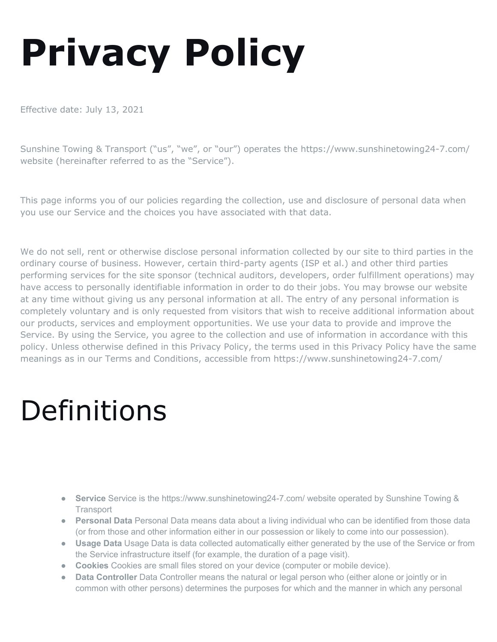# **Privacy Policy**

Effective date: July 13, 2021

Sunshine Towing & Transport ("us", "we", or "our") operates the https://www.sunshinetowing24-7.com/ website (hereinafter referred to as the "Service").

This page informs you of our policies regarding the collection, use and disclosure of personal data when you use our Service and the choices you have associated with that data.

We do not sell, rent or otherwise disclose personal information collected by our site to third parties in the ordinary course of business. However, certain third-party agents (ISP et al.) and other third parties performing services for the site sponsor (technical auditors, developers, order fulfillment operations) may have access to personally identifiable information in order to do their jobs. You may browse our website at any time without giving us any personal information at all. The entry of any personal information is completely voluntary and is only requested from visitors that wish to receive additional information about our products, services and employment opportunities. We use your data to provide and improve the Service. By using the Service, you agree to the collection and use of information in accordance with this policy. Unless otherwise defined in this Privacy Policy, the terms used in this Privacy Policy have the same meanings as in our Terms and Conditions, accessible from https://www.sunshinetowing24-7.com/

#### Definitions

- **Service** Service is the https://www.sunshinetowing24-7.com/ website operated by Sunshine Towing & **Transport**
- **Personal Data** Personal Data means data about a living individual who can be identified from those data (or from those and other information either in our possession or likely to come into our possession).
- **Usage Data** Usage Data is data collected automatically either generated by the use of the Service or from the Service infrastructure itself (for example, the duration of a page visit).
- **Cookies** Cookies are small files stored on your device (computer or mobile device).
- **Data Controller** Data Controller means the natural or legal person who (either alone or jointly or in common with other persons) determines the purposes for which and the manner in which any personal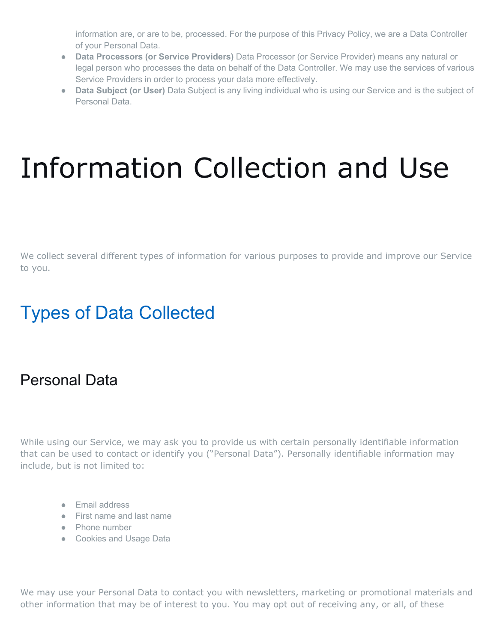information are, or are to be, processed. For the purpose of this Privacy Policy, we are a Data Controller of your Personal Data.

- **Data Processors (or Service Providers)** Data Processor (or Service Provider) means any natural or legal person who processes the data on behalf of the Data Controller. We may use the services of various Service Providers in order to process your data more effectively.
- **Data Subject (or User)** Data Subject is any living individual who is using our Service and is the subject of Personal Data.

### Information Collection and Use

We collect several different types of information for various purposes to provide and improve our Service to you.

#### Types of Data Collected

#### Personal Data

While using our Service, we may ask you to provide us with certain personally identifiable information that can be used to contact or identify you ("Personal Data"). Personally identifiable information may include, but is not limited to:

- Email address
- First name and last name
- Phone number
- Cookies and Usage Data

We may use your Personal Data to contact you with newsletters, marketing or promotional materials and other information that may be of interest to you. You may opt out of receiving any, or all, of these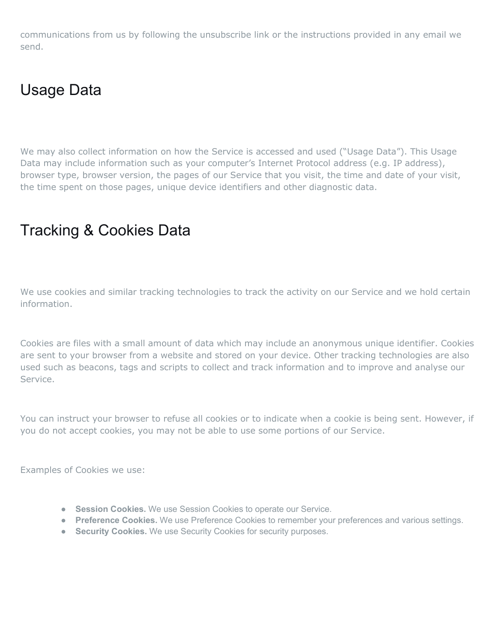communications from us by following the unsubscribe link or the instructions provided in any email we send.

#### Usage Data

We may also collect information on how the Service is accessed and used ("Usage Data"). This Usage Data may include information such as your computer's Internet Protocol address (e.g. IP address), browser type, browser version, the pages of our Service that you visit, the time and date of your visit, the time spent on those pages, unique device identifiers and other diagnostic data.

#### Tracking & Cookies Data

We use cookies and similar tracking technologies to track the activity on our Service and we hold certain information.

Cookies are files with a small amount of data which may include an anonymous unique identifier. Cookies are sent to your browser from a website and stored on your device. Other tracking technologies are also used such as beacons, tags and scripts to collect and track information and to improve and analyse our Service.

You can instruct your browser to refuse all cookies or to indicate when a cookie is being sent. However, if you do not accept cookies, you may not be able to use some portions of our Service.

Examples of Cookies we use:

- **Session Cookies.** We use Session Cookies to operate our Service.
- **Preference Cookies.** We use Preference Cookies to remember your preferences and various settings.
- **Security Cookies.** We use Security Cookies for security purposes.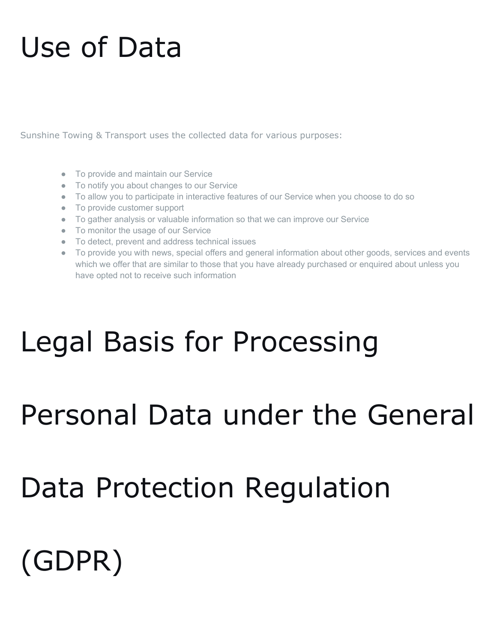#### Use of Data

Sunshine Towing & Transport uses the collected data for various purposes:

- To provide and maintain our Service
- To notify you about changes to our Service
- To allow you to participate in interactive features of our Service when you choose to do so
- To provide customer support
- To gather analysis or valuable information so that we can improve our Service
- To monitor the usage of our Service
- To detect, prevent and address technical issues
- To provide you with news, special offers and general information about other goods, services and events which we offer that are similar to those that you have already purchased or enquired about unless you have opted not to receive such information

### Legal Basis for Processing

#### Personal Data under the General

### Data Protection Regulation

### (GDPR)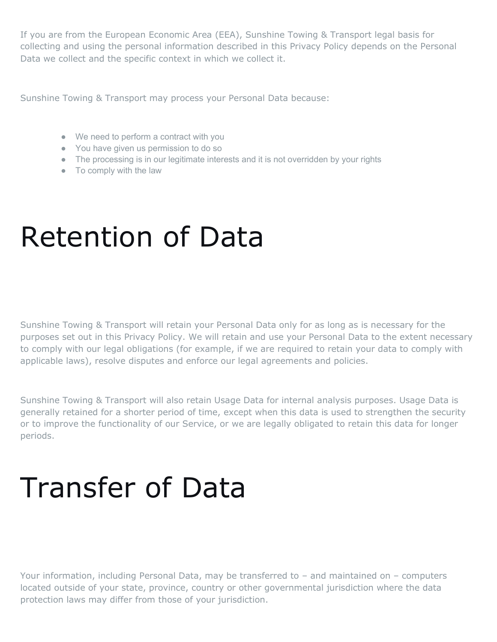If you are from the European Economic Area (EEA), Sunshine Towing & Transport legal basis for collecting and using the personal information described in this Privacy Policy depends on the Personal Data we collect and the specific context in which we collect it.

Sunshine Towing & Transport may process your Personal Data because:

- We need to perform a contract with you
- You have given us permission to do so
- The processing is in our legitimate interests and it is not overridden by your rights
- To comply with the law

#### Retention of Data

Sunshine Towing & Transport will retain your Personal Data only for as long as is necessary for the purposes set out in this Privacy Policy. We will retain and use your Personal Data to the extent necessary to comply with our legal obligations (for example, if we are required to retain your data to comply with applicable laws), resolve disputes and enforce our legal agreements and policies.

Sunshine Towing & Transport will also retain Usage Data for internal analysis purposes. Usage Data is generally retained for a shorter period of time, except when this data is used to strengthen the security or to improve the functionality of our Service, or we are legally obligated to retain this data for longer periods.

### Transfer of Data

Your information, including Personal Data, may be transferred to – and maintained on – computers located outside of your state, province, country or other governmental jurisdiction where the data protection laws may differ from those of your jurisdiction.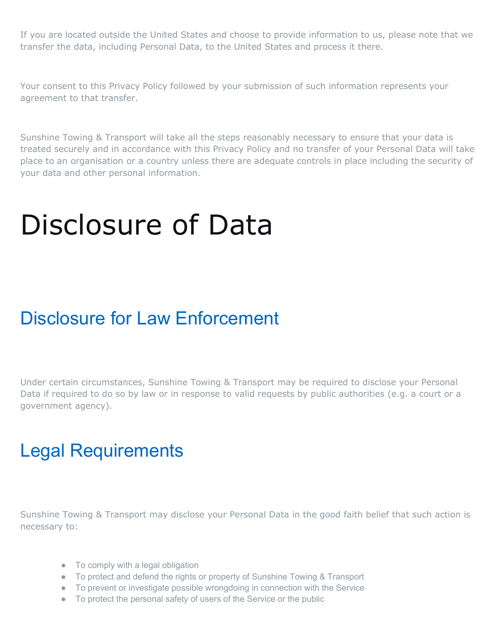If you are located outside the United States and choose to provide information to us, please note that we transfer the data, including Personal Data, to the United States and process it there.

Your consent to this Privacy Policy followed by your submission of such information represents your agreement to that transfer.

Sunshine Towing & Transport will take all the steps reasonably necessary to ensure that your data is treated securely and in accordance with this Privacy Policy and no transfer of your Personal Data will take place to an organisation or a country unless there are adequate controls in place including the security of your data and other personal information.

#### Disclosure of Data

#### Disclosure for Law Enforcement

Under certain circumstances, Sunshine Towing & Transport may be required to disclose your Personal Data if required to do so by law or in response to valid requests by public authorities (e.g. a court or a government agency).

#### Legal Requirements

Sunshine Towing & Transport may disclose your Personal Data in the good faith belief that such action is necessary to:

- To comply with a legal obligation
- To protect and defend the rights or property of Sunshine Towing & Transport
- To prevent or investigate possible wrongdoing in connection with the Service
- To protect the personal safety of users of the Service or the public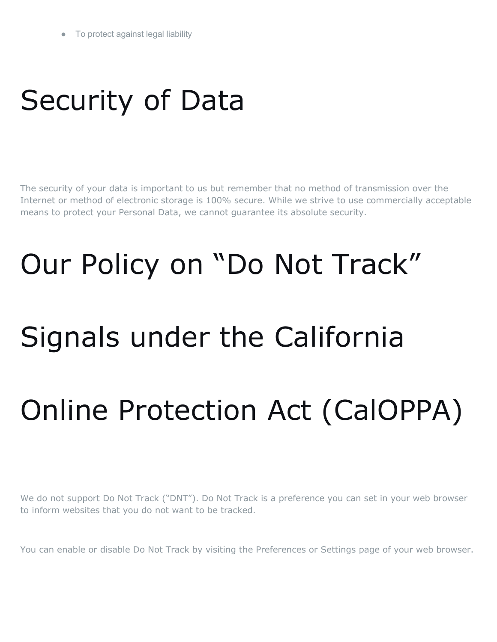### Security of Data

The security of your data is important to us but remember that no method of transmission over the Internet or method of electronic storage is 100% secure. While we strive to use commercially acceptable means to protect your Personal Data, we cannot guarantee its absolute security.

## Our Policy on "Do Not Track"

### Signals under the California

### Online Protection Act (CalOPPA)

We do not support Do Not Track ("DNT"). Do Not Track is a preference you can set in your web browser to inform websites that you do not want to be tracked.

You can enable or disable Do Not Track by visiting the Preferences or Settings page of your web browser.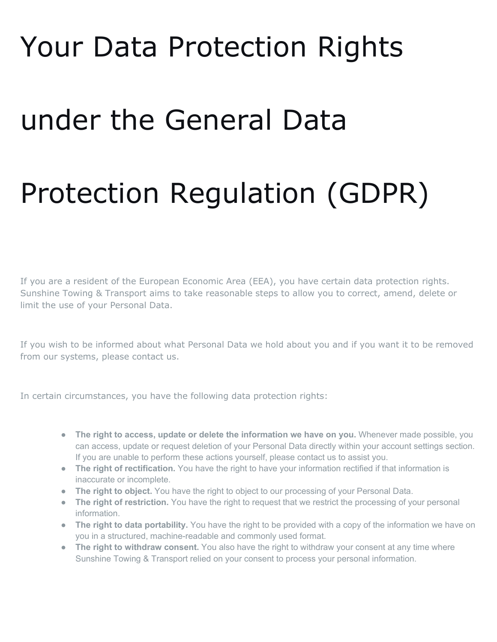#### Your Data Protection Rights

#### under the General Data

### Protection Regulation (GDPR)

If you are a resident of the European Economic Area (EEA), you have certain data protection rights. Sunshine Towing & Transport aims to take reasonable steps to allow you to correct, amend, delete or limit the use of your Personal Data.

If you wish to be informed about what Personal Data we hold about you and if you want it to be removed from our systems, please contact us.

In certain circumstances, you have the following data protection rights:

- **The right to access, update or delete the information we have on you.** Whenever made possible, you can access, update or request deletion of your Personal Data directly within your account settings section. If you are unable to perform these actions yourself, please contact us to assist you.
- **The right of rectification.** You have the right to have your information rectified if that information is inaccurate or incomplete.
- **The right to object.** You have the right to object to our processing of your Personal Data.
- **The right of restriction.** You have the right to request that we restrict the processing of your personal information.
- **The right to data portability.** You have the right to be provided with a copy of the information we have on you in a structured, machine-readable and commonly used format.
- **The right to withdraw consent.** You also have the right to withdraw your consent at any time where Sunshine Towing & Transport relied on your consent to process your personal information.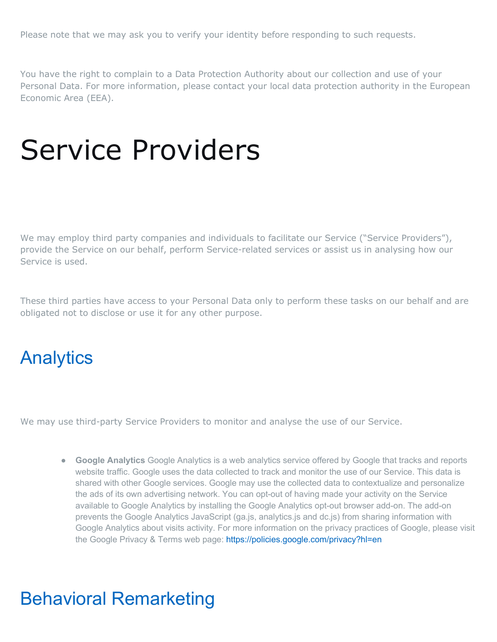Please note that we may ask you to verify your identity before responding to such requests.

You have the right to complain to a Data Protection Authority about our collection and use of your Personal Data. For more information, please contact your local data protection authority in the European Economic Area (EEA).

#### Service Providers

We may employ third party companies and individuals to facilitate our Service ("Service Providers"), provide the Service on our behalf, perform Service-related services or assist us in analysing how our Service is used.

These third parties have access to your Personal Data only to perform these tasks on our behalf and are obligated not to disclose or use it for any other purpose.

#### **Analytics**

We may use third-party Service Providers to monitor and analyse the use of our Service.

● **Google Analytics** Google Analytics is a web analytics service offered by Google that tracks and reports website traffic. Google uses the data collected to track and monitor the use of our Service. This data is shared with other Google services. Google may use the collected data to contextualize and personalize the ads of its own advertising network. You can opt-out of having made your activity on the Service available to Google Analytics by installing the Google Analytics opt-out browser add-on. The add-on prevents the Google Analytics JavaScript (ga.js, analytics.js and dc.js) from sharing information with Google Analytics about visits activity. For more information on the privacy practices of Google, please visit the Google Privacy & Terms web page:<https://policies.google.com/privacy?hl=en>

#### Behavioral Remarketing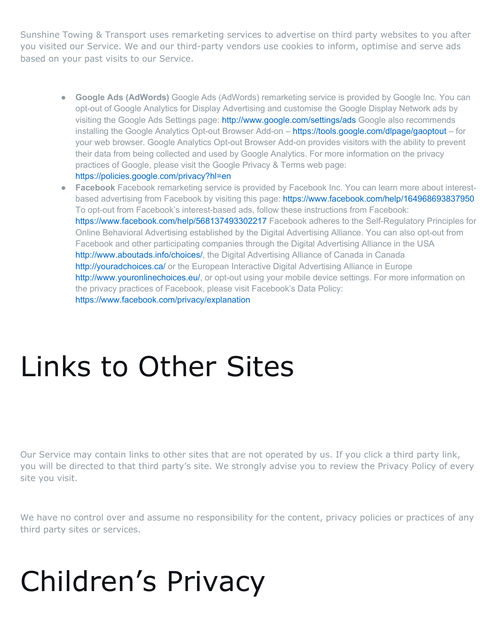Sunshine Towing & Transport uses remarketing services to advertise on third party websites to you after you visited our Service. We and our third-party vendors use cookies to inform, optimise and serve ads based on your past visits to our Service.

- **Google Ads (AdWords)** Google Ads (AdWords) remarketing service is provided by Google Inc. You can opt-out of Google Analytics for Display Advertising and customise the Google Display Network ads by visiting the Google Ads Settings page:<http://www.google.com/settings/ads> Google also recommends installing the Google Analytics Opt-out Browser Add-on – <https://tools.google.com/dlpage/gaoptout> – for your web browser. Google Analytics Opt-out Browser Add-on provides visitors with the ability to prevent their data from being collected and used by Google Analytics. For more information on the privacy practices of Google, please visit the Google Privacy & Terms web page: <https://policies.google.com/privacy?hl=en>
- **Facebook** Facebook remarketing service is provided by Facebook Inc. You can learn more about interestbased advertising from Facebook by visiting this page:<https://www.facebook.com/help/164968693837950> To opt-out from Facebook's interest-based ads, follow these instructions from Facebook: <https://www.facebook.com/help/568137493302217> Facebook adheres to the Self-Regulatory Principles for Online Behavioral Advertising established by the Digital Advertising Alliance. You can also opt-out from Facebook and other participating companies through the Digital Advertising Alliance in the USA [http://www.aboutads.info/choices/,](http://www.aboutads.info/choices/) the Digital Advertising Alliance of Canada in Canada <http://youradchoices.ca/> or the European Interactive Digital Advertising Alliance in Europe [http://www.youronlinechoices.eu/,](http://www.youronlinechoices.eu/) or opt-out using your mobile device settings. For more information on the privacy practices of Facebook, please visit Facebook's Data Policy: <https://www.facebook.com/privacy/explanation>

#### Links to Other Sites

Our Service may contain links to other sites that are not operated by us. If you click a third party link, you will be directed to that third party's site. We strongly advise you to review the Privacy Policy of every site you visit.

We have no control over and assume no responsibility for the content, privacy policies or practices of any third party sites or services.

### Children's Privacy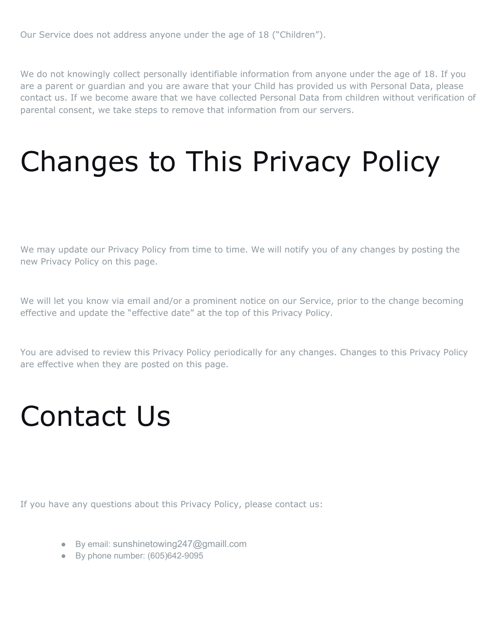Our Service does not address anyone under the age of 18 ("Children").

We do not knowingly collect personally identifiable information from anyone under the age of 18. If you are a parent or guardian and you are aware that your Child has provided us with Personal Data, please contact us. If we become aware that we have collected Personal Data from children without verification of parental consent, we take steps to remove that information from our servers.

### Changes to This Privacy Policy

We may update our Privacy Policy from time to time. We will notify you of any changes by posting the new Privacy Policy on this page.

We will let you know via email and/or a prominent notice on our Service, prior to the change becoming effective and update the "effective date" at the top of this Privacy Policy.

You are advised to review this Privacy Policy periodically for any changes. Changes to this Privacy Policy are effective when they are posted on this page.

#### Contact Us

If you have any questions about this Privacy Policy, please contact us:

- By email: sunshinetowing247@gmaill.com
- By phone number: (605)642-9095